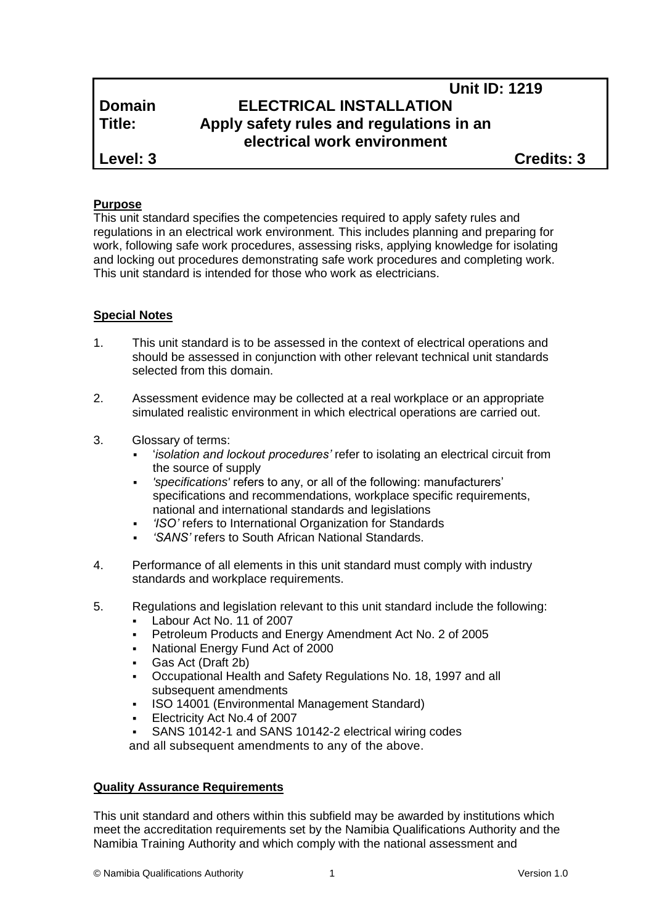# **Unit ID: 1219 Domain ELECTRICAL INSTALLATION Title: Apply safety rules and regulations in an electrical work environment**

**Level: 3 Credits: 3**

# **Purpose**

This unit standard specifies the competencies required to apply safety rules and regulations in an electrical work environment*.* This includes planning and preparing for work, following safe work procedures, assessing risks, applying knowledge for isolating and locking out procedures demonstrating safe work procedures and completing work. This unit standard is intended for those who work as electricians.

# **Special Notes**

- 1. This unit standard is to be assessed in the context of electrical operations and should be assessed in conjunction with other relevant technical unit standards selected from this domain.
- 2. Assessment evidence may be collected at a real workplace or an appropriate simulated realistic environment in which electrical operations are carried out.
- 3. Glossary of terms:
	- '*isolation and lockout procedures'* refer to isolating an electrical circuit from the source of supply
	- *'specifications'* refers to any, or all of the following: manufacturers' specifications and recommendations, workplace specific requirements, national and international standards and legislations
	- *'ISO'* refers to International Organization for Standards
	- *'SANS'* refers to South African National Standards.
- 4. Performance of all elements in this unit standard must comply with industry standards and workplace requirements.
- 5. Regulations and legislation relevant to this unit standard include the following:
	- Labour Act No. 11 of 2007
	- Petroleum Products and Energy Amendment Act No. 2 of 2005
	- National Energy Fund Act of 2000
	- Gas Act (Draft 2b)
	- Occupational Health and Safety Regulations No. 18, 1997 and all subsequent amendments
	- ISO 14001 (Environmental Management Standard)
	- Electricity Act No.4 of 2007
	- SANS 10142-1 and SANS 10142-2 electrical wiring codes

and all subsequent amendments to any of the above.

# **Quality Assurance Requirements**

This unit standard and others within this subfield may be awarded by institutions which meet the accreditation requirements set by the Namibia Qualifications Authority and the Namibia Training Authority and which comply with the national assessment and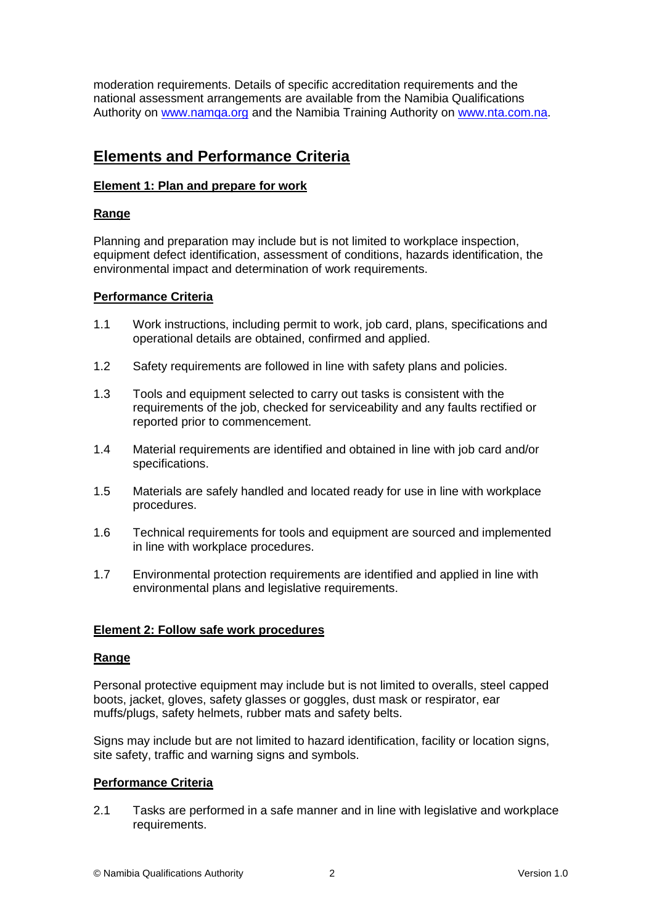moderation requirements. Details of specific accreditation requirements and the national assessment arrangements are available from the Namibia Qualifications Authority on [www.namqa.org](http://www.namqa.org/) and the Namibia Training Authority on [www.nta.com.na.](http://www.nta.com.na/)

# **Elements and Performance Criteria**

# **Element 1: Plan and prepare for work**

# **Range**

Planning and preparation may include but is not limited to workplace inspection, equipment defect identification, assessment of conditions, hazards identification, the environmental impact and determination of work requirements.

# **Performance Criteria**

- 1.1 Work instructions, including permit to work, job card, plans, specifications and operational details are obtained, confirmed and applied.
- 1.2 Safety requirements are followed in line with safety plans and policies.
- 1.3 Tools and equipment selected to carry out tasks is consistent with the requirements of the job, checked for serviceability and any faults rectified or reported prior to commencement.
- 1.4 Material requirements are identified and obtained in line with job card and/or specifications.
- 1.5 Materials are safely handled and located ready for use in line with workplace procedures.
- 1.6 Technical requirements for tools and equipment are sourced and implemented in line with workplace procedures.
- 1.7 Environmental protection requirements are identified and applied in line with environmental plans and legislative requirements.

## **Element 2: Follow safe work procedures**

## **Range**

Personal protective equipment may include but is not limited to overalls, steel capped boots, jacket, gloves, safety glasses or goggles, dust mask or respirator, ear muffs/plugs, safety helmets, rubber mats and safety belts.

Signs may include but are not limited to hazard identification, facility or location signs, site safety, traffic and warning signs and symbols.

## **Performance Criteria**

2.1 Tasks are performed in a safe manner and in line with legislative and workplace requirements.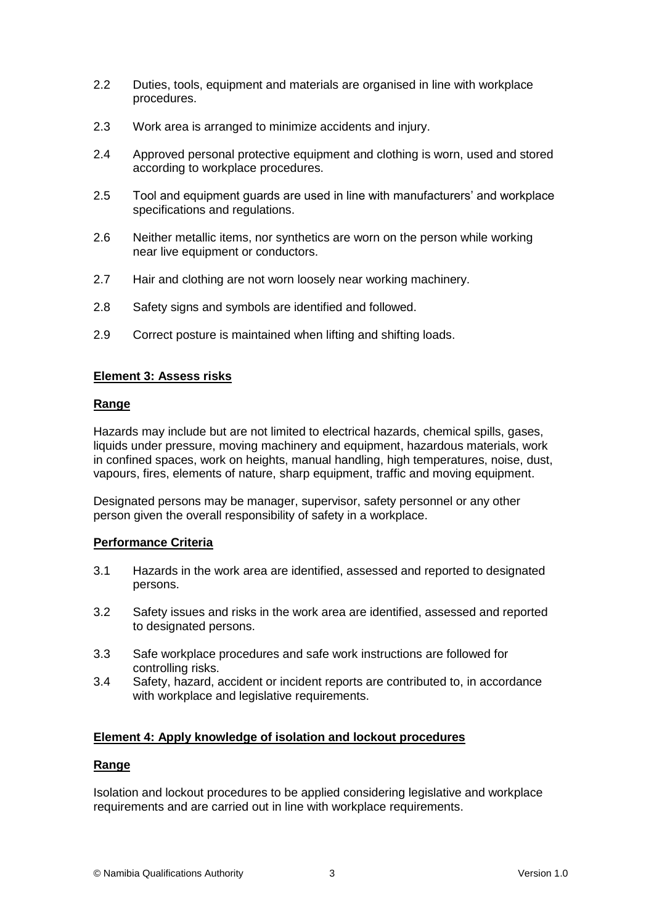- 2.2 Duties, tools, equipment and materials are organised in line with workplace procedures.
- 2.3 Work area is arranged to minimize accidents and injury.
- 2.4 Approved personal protective equipment and clothing is worn, used and stored according to workplace procedures.
- 2.5 Tool and equipment guards are used in line with manufacturers' and workplace specifications and regulations.
- 2.6 Neither metallic items, nor synthetics are worn on the person while working near live equipment or conductors.
- 2.7 Hair and clothing are not worn loosely near working machinery.
- 2.8 Safety signs and symbols are identified and followed.
- 2.9 Correct posture is maintained when lifting and shifting loads.

## **Element 3: Assess risks**

#### **Range**

Hazards may include but are not limited to electrical hazards, chemical spills, gases, liquids under pressure, moving machinery and equipment, hazardous materials, work in confined spaces, work on heights, manual handling, high temperatures, noise, dust, vapours, fires, elements of nature, sharp equipment, traffic and moving equipment.

Designated persons may be manager, supervisor, safety personnel or any other person given the overall responsibility of safety in a workplace.

## **Performance Criteria**

- 3.1 Hazards in the work area are identified, assessed and reported to designated persons.
- 3.2 Safety issues and risks in the work area are identified, assessed and reported to designated persons.
- 3.3 Safe workplace procedures and safe work instructions are followed for controlling risks.
- 3.4 Safety, hazard, accident or incident reports are contributed to, in accordance with workplace and legislative requirements.

#### **Element 4: Apply knowledge of isolation and lockout procedures**

#### **Range**

Isolation and lockout procedures to be applied considering legislative and workplace requirements and are carried out in line with workplace requirements.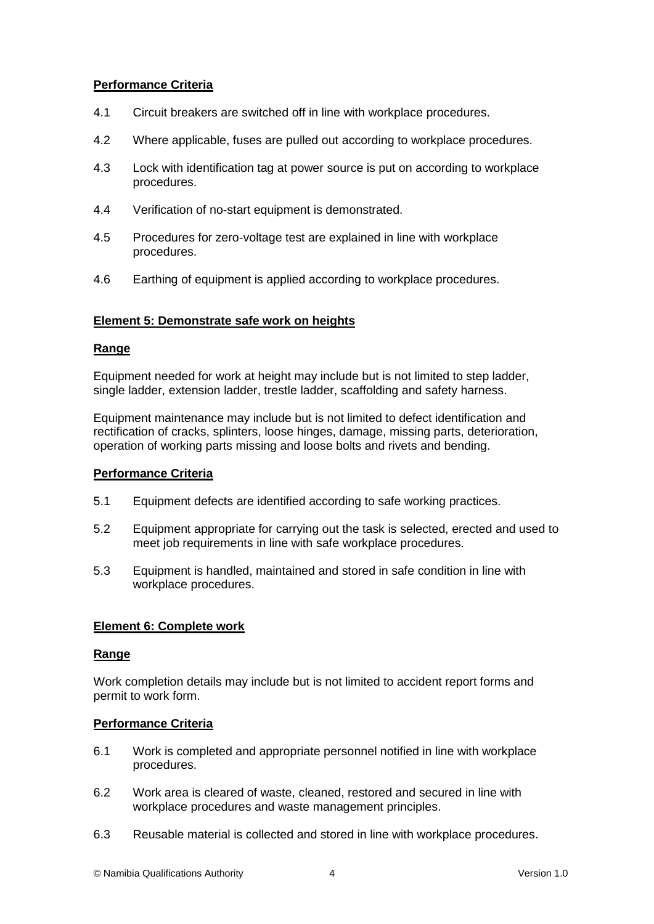# **Performance Criteria**

- 4.1 Circuit breakers are switched off in line with workplace procedures.
- 4.2 Where applicable, fuses are pulled out according to workplace procedures.
- 4.3 Lock with identification tag at power source is put on according to workplace procedures.
- 4.4 Verification of no-start equipment is demonstrated.
- 4.5 Procedures for zero-voltage test are explained in line with workplace procedures.
- 4.6 Earthing of equipment is applied according to workplace procedures.

#### **Element 5: Demonstrate safe work on heights**

#### **Range**

Equipment needed for work at height may include but is not limited to step ladder, single ladder, extension ladder, trestle ladder, scaffolding and safety harness.

Equipment maintenance may include but is not limited to defect identification and rectification of cracks, splinters, loose hinges, damage, missing parts, deterioration, operation of working parts missing and loose bolts and rivets and bending.

#### **Performance Criteria**

- 5.1 Equipment defects are identified according to safe working practices.
- 5.2 Equipment appropriate for carrying out the task is selected, erected and used to meet job requirements in line with safe workplace procedures.
- 5.3 Equipment is handled, maintained and stored in safe condition in line with workplace procedures.

## **Element 6: Complete work**

#### **Range**

Work completion details may include but is not limited to accident report forms and permit to work form.

#### **Performance Criteria**

- 6.1 Work is completed and appropriate personnel notified in line with workplace procedures.
- 6.2 Work area is cleared of waste, cleaned, restored and secured in line with workplace procedures and waste management principles.
- 6.3 Reusable material is collected and stored in line with workplace procedures.